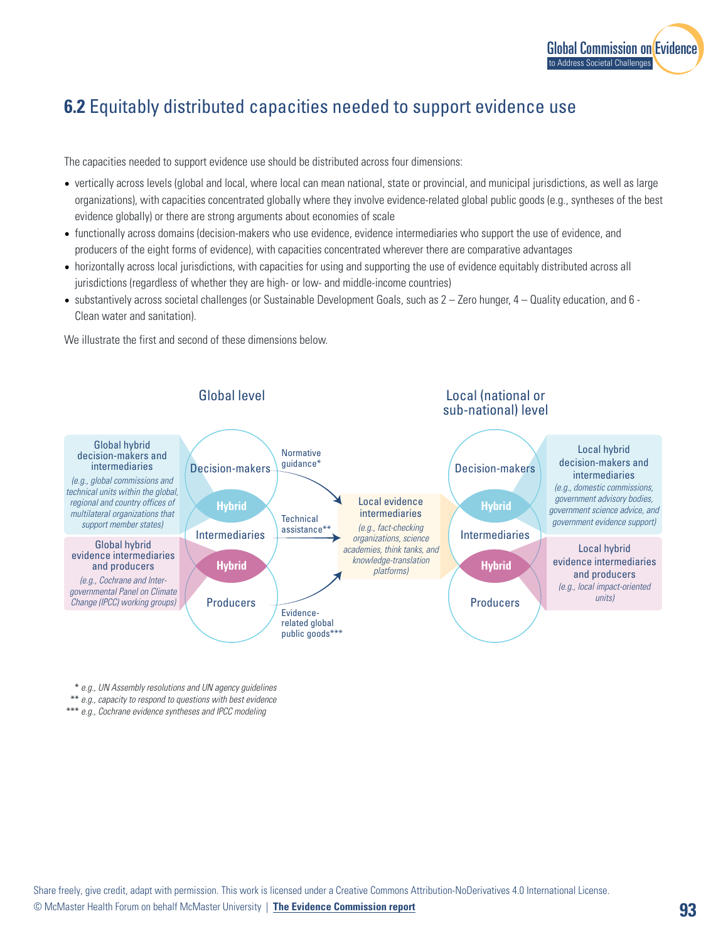

## **6.2** Equitably distributed capacities needed to support evidence use

The capacities needed to support evidence use should be distributed across four dimensions:

- vertically across levels (global and local, where local can mean national, state or provincial, and municipal jurisdictions, as well as large organizations), with capacities concentrated globally where they involve evidence-related global public goods (e.g., syntheses of the best evidence globally) or there are strong arguments about economies of scale
- functionally across domains (decision-makers who use evidence, evidence intermediaries who support the use of evidence, and producers of the eight forms of evidence), with capacities concentrated wherever there are comparative advantages
- horizontally across local jurisdictions, with capacities for using and supporting the use of evidence equitably distributed across all jurisdictions (regardless of whether they are high- or low- and middle-income countries)
- substantively across societal challenges (or Sustainable Development Goals, such as 2 Zero hunger, 4 Quality education, and 6 Clean water and sanitation).

We illustrate the first and second of these dimensions below.



\* *e.g., UN Assembly resolutions and UN agency guidelines*

\*\* *e.g., capacity to respond to questions with best evidence*

\*\*\* *e.g., Cochrane evidence syntheses and IPCC modeling*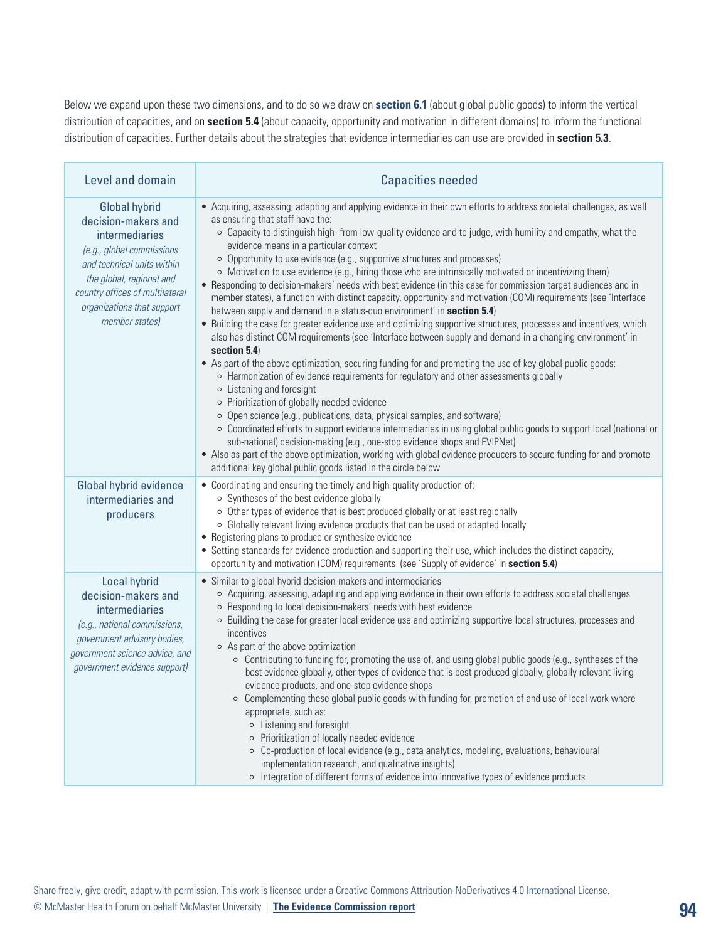Below we expand upon these two dimensions, and to do so we draw on **section 6.1** (about global public goods) to inform the vertical distribution of capacities, and on **section 5.4** (about capacity, opportunity and motivation in different domains) to inform the functional distribution of capacities. Further details about the strategies that evidence intermediaries can use are provided in **section 5.3**.

| Level and domain                                                                                                                                                                                                                        | <b>Capacities needed</b>                                                                                                                                                                                                                                                                                                                                                                                                                                                                                                                                                                                                                                                                                                                                                                                                                                                                                                                                                                                                                                                                                                                                                                                                                                                                                                                                                                                                                                                                                                                                                                                                                                                                                                                                                                                                                   |
|-----------------------------------------------------------------------------------------------------------------------------------------------------------------------------------------------------------------------------------------|--------------------------------------------------------------------------------------------------------------------------------------------------------------------------------------------------------------------------------------------------------------------------------------------------------------------------------------------------------------------------------------------------------------------------------------------------------------------------------------------------------------------------------------------------------------------------------------------------------------------------------------------------------------------------------------------------------------------------------------------------------------------------------------------------------------------------------------------------------------------------------------------------------------------------------------------------------------------------------------------------------------------------------------------------------------------------------------------------------------------------------------------------------------------------------------------------------------------------------------------------------------------------------------------------------------------------------------------------------------------------------------------------------------------------------------------------------------------------------------------------------------------------------------------------------------------------------------------------------------------------------------------------------------------------------------------------------------------------------------------------------------------------------------------------------------------------------------------|
| <b>Global hybrid</b><br>decision-makers and<br>intermediaries<br>(e.g., global commissions<br>and technical units within<br>the global, regional and<br>country offices of multilateral<br>organizations that support<br>member states) | • Acquiring, assessing, adapting and applying evidence in their own efforts to address societal challenges, as well<br>as ensuring that staff have the:<br>o Capacity to distinguish high- from low-quality evidence and to judge, with humility and empathy, what the<br>evidence means in a particular context<br>○ Opportunity to use evidence (e.g., supportive structures and processes)<br>o Motivation to use evidence (e.g., hiring those who are intrinsically motivated or incentivizing them)<br>• Responding to decision-makers' needs with best evidence (in this case for commission target audiences and in<br>member states), a function with distinct capacity, opportunity and motivation (COM) requirements (see 'Interface<br>between supply and demand in a status-quo environment' in section 5.4)<br>• Building the case for greater evidence use and optimizing supportive structures, processes and incentives, which<br>also has distinct COM requirements (see 'Interface between supply and demand in a changing environment' in<br>section 5.4)<br>• As part of the above optimization, securing funding for and promoting the use of key global public goods:<br>o Harmonization of evidence requirements for regulatory and other assessments globally<br>o Listening and foresight<br>o Prioritization of globally needed evidence<br>o Open science (e.g., publications, data, physical samples, and software)<br>o Coordinated efforts to support evidence intermediaries in using global public goods to support local (national or<br>sub-national) decision-making (e.g., one-stop evidence shops and EVIPNet)<br>• Also as part of the above optimization, working with global evidence producers to secure funding for and promote<br>additional key global public goods listed in the circle below |
| Global hybrid evidence<br>intermediaries and<br>producers                                                                                                                                                                               | • Coordinating and ensuring the timely and high-quality production of:<br>○ Syntheses of the best evidence globally<br>o Other types of evidence that is best produced globally or at least regionally<br>o Globally relevant living evidence products that can be used or adapted locally<br>• Registering plans to produce or synthesize evidence<br>• Setting standards for evidence production and supporting their use, which includes the distinct capacity,<br>opportunity and motivation (COM) requirements (see 'Supply of evidence' in section 5.4)                                                                                                                                                                                                                                                                                                                                                                                                                                                                                                                                                                                                                                                                                                                                                                                                                                                                                                                                                                                                                                                                                                                                                                                                                                                                              |
| Local hybrid<br>decision-makers and<br>intermediaries<br>(e.g., national commissions,<br>government advisory bodies,<br>government science advice, and<br>government evidence support)                                                  | • Similar to global hybrid decision-makers and intermediaries<br>o Acquiring, assessing, adapting and applying evidence in their own efforts to address societal challenges<br>○ Responding to local decision-makers' needs with best evidence<br>o Building the case for greater local evidence use and optimizing supportive local structures, processes and<br>incentives<br>○ As part of the above optimization<br>○ Contributing to funding for, promoting the use of, and using global public goods (e.g., syntheses of the<br>best evidence globally, other types of evidence that is best produced globally, globally relevant living<br>evidence products, and one-stop evidence shops<br>o Complementing these global public goods with funding for, promotion of and use of local work where<br>appropriate, such as:<br>o Listening and foresight<br>o Prioritization of locally needed evidence<br>○ Co-production of local evidence (e.g., data analytics, modeling, evaluations, behavioural<br>implementation research, and qualitative insights)<br>o Integration of different forms of evidence into innovative types of evidence products                                                                                                                                                                                                                                                                                                                                                                                                                                                                                                                                                                                                                                                                               |